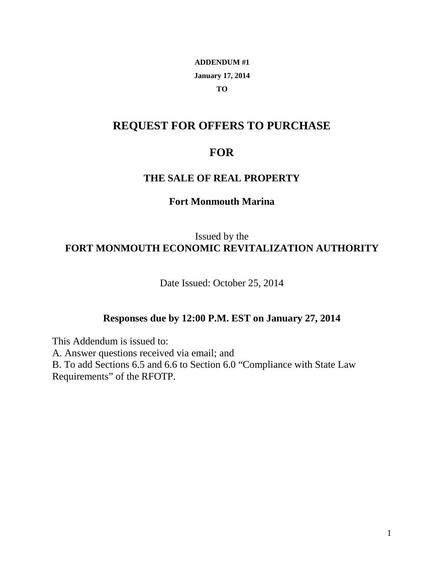## **ADDENDUM #1 January 17, 2014 TO**

# **REQUEST FOR OFFERS TO PURCHASE**

# **FOR**

## **THE SALE OF REAL PROPERTY**

### **Fort Monmouth Marina**

# Issued by the **FORT MONMOUTH ECONOMIC REVITALIZATION AUTHORITY**

Date Issued: October 25, 2014

### **Responses due by 12:00 P.M. EST on January 27, 2014**

This Addendum is issued to:

A. Answer questions received via email; and

B. To add Sections 6.5 and 6.6 to Section 6.0 "Compliance with State Law Requirements" of the RFOTP.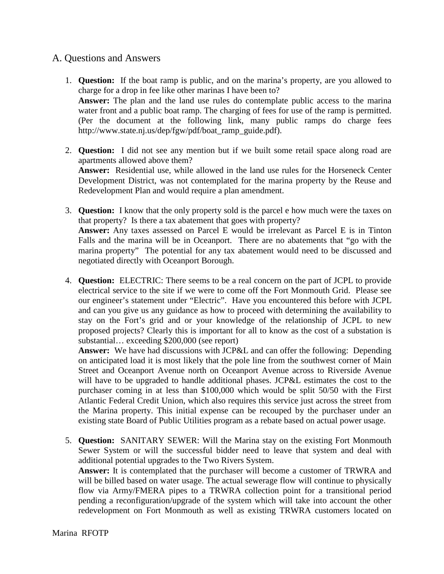#### A. Questions and Answers

- 1. **Question:** If the boat ramp is public, and on the marina's property, are you allowed to charge for a drop in fee like other marinas I have been to? **Answer:** The plan and the land use rules do contemplate public access to the marina water front and a public boat ramp. The charging of fees for use of the ramp is permitted. (Per the document at the following link, many public ramps do charge fees [http://www.state.nj.us/dep/fgw/pdf/boat\\_ramp\\_guide.pdf\)](http://www.state.nj.us/dep/fgw/pdf/boat_ramp_guide.pdf).
- 2. **Question:** I did not see any mention but if we built some retail space along road are apartments allowed above them? **Answer:** Residential use, while allowed in the land use rules for the Horseneck Center Development District, was not contemplated for the marina property by the Reuse and Redevelopment Plan and would require a plan amendment.
- 3. **Question:** I know that the only property sold is the parcel e how much were the taxes on that property? Is there a tax abatement that goes with property? **Answer:** Any taxes assessed on Parcel E would be irrelevant as Parcel E is in Tinton Falls and the marina will be in Oceanport. There are no abatements that "go with the marina property" The potential for any tax abatement would need to be discussed and negotiated directly with Oceanport Borough.
- 4. **Question:** ELECTRIC: There seems to be a real concern on the part of JCPL to provide electrical service to the site if we were to come off the Fort Monmouth Grid. Please see our engineer's statement under "Electric". Have you encountered this before with JCPL and can you give us any guidance as how to proceed with determining the availability to stay on the Fort's grid and or your knowledge of the relationship of JCPL to new proposed projects? Clearly this is important for all to know as the cost of a substation is substantial… exceeding \$200,000 (see report)

**Answer:** We have had discussions with JCP&L and can offer the following: Depending on anticipated load it is most likely that the pole line from the southwest corner of Main Street and Oceanport Avenue north on Oceanport Avenue across to Riverside Avenue will have to be upgraded to handle additional phases. JCP&L estimates the cost to the purchaser coming in at less than \$100,000 which would be split 50/50 with the First Atlantic Federal Credit Union, which also requires this service just across the street from the Marina property. This initial expense can be recouped by the purchaser under an existing state Board of Public Utilities program as a rebate based on actual power usage.

5. **Question:** SANITARY SEWER: Will the Marina stay on the existing Fort Monmouth Sewer System or will the successful bidder need to leave that system and deal with additional potential upgrades to the Two Rivers System.

**Answer:** It is contemplated that the purchaser will become a customer of TRWRA and will be billed based on water usage. The actual sewerage flow will continue to physically flow via Army/FMERA pipes to a TRWRA collection point for a transitional period pending a reconfiguration/upgrade of the system which will take into account the other redevelopment on Fort Monmouth as well as existing TRWRA customers located on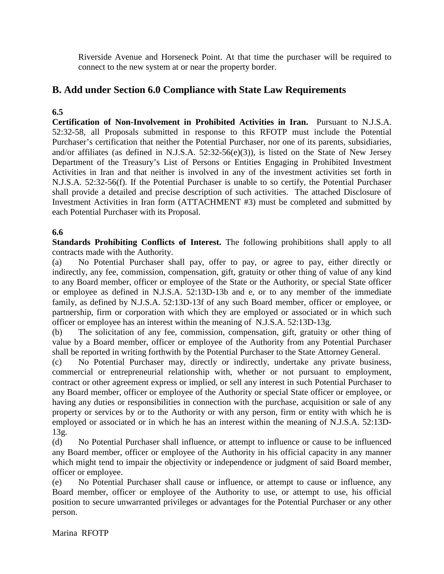Riverside Avenue and Horseneck Point. At that time the purchaser will be required to connect to the new system at or near the property border.

## **B. Add under Section 6.0 Compliance with State Law Requirements**

### **6.5**

**Certification of Non-Involvement in Prohibited Activities in Iran.** Pursuant to N.J.S.A. 52:32-58, all Proposals submitted in response to this RFOTP must include the Potential Purchaser's certification that neither the Potential Purchaser, nor one of its parents, subsidiaries, and/or affiliates (as defined in N.J.S.A. 52:32-56(e)(3)), is listed on the State of New Jersey Department of the Treasury's List of Persons or Entities Engaging in Prohibited Investment Activities in Iran and that neither is involved in any of the investment activities set forth in N.J.S.A. 52:32-56(f). If the Potential Purchaser is unable to so certify, the Potential Purchaser shall provide a detailed and precise description of such activities. The attached Disclosure of Investment Activities in Iran form (ATTACHMENT #3) must be completed and submitted by each Potential Purchaser with its Proposal.

#### **6.6**

**Standards Prohibiting Conflicts of Interest.** The following prohibitions shall apply to all contracts made with the Authority.

(a) No Potential Purchaser shall pay, offer to pay, or agree to pay, either directly or indirectly, any fee, commission, compensation, gift, gratuity or other thing of value of any kind to any Board member, officer or employee of the State or the Authority, or special State officer or employee as defined in N.J.S.A. 52:13D-13b and e, or to any member of the immediate family, as defined by N.J.S.A. 52:13D-13f of any such Board member, officer or employee, or partnership, firm or corporation with which they are employed or associated or in which such officer or employee has an interest within the meaning of N.J.S.A. 52:13D-13g.

(b) The solicitation of any fee, commission, compensation, gift, gratuity or other thing of value by a Board member, officer or employee of the Authority from any Potential Purchaser shall be reported in writing forthwith by the Potential Purchaser to the State Attorney General.

(c) No Potential Purchaser may, directly or indirectly, undertake any private business, commercial or entrepreneurial relationship with, whether or not pursuant to employment, contract or other agreement express or implied, or sell any interest in such Potential Purchaser to any Board member, officer or employee of the Authority or special State officer or employee, or having any duties or responsibilities in connection with the purchase, acquisition or sale of any property or services by or to the Authority or with any person, firm or entity with which he is employed or associated or in which he has an interest within the meaning of N.J.S.A. 52:13D-13g.

(d) No Potential Purchaser shall influence, or attempt to influence or cause to be influenced any Board member, officer or employee of the Authority in his official capacity in any manner which might tend to impair the objectivity or independence or judgment of said Board member, officer or employee.

(e) No Potential Purchaser shall cause or influence, or attempt to cause or influence, any Board member, officer or employee of the Authority to use, or attempt to use, his official position to secure unwarranted privileges or advantages for the Potential Purchaser or any other person.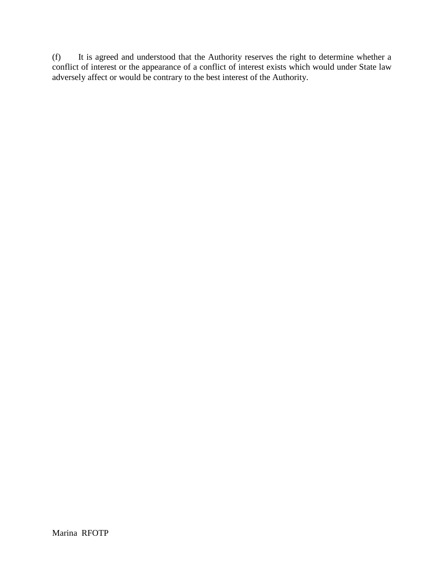(f) It is agreed and understood that the Authority reserves the right to determine whether a conflict of interest or the appearance of a conflict of interest exists which would under State law adversely affect or would be contrary to the best interest of the Authority.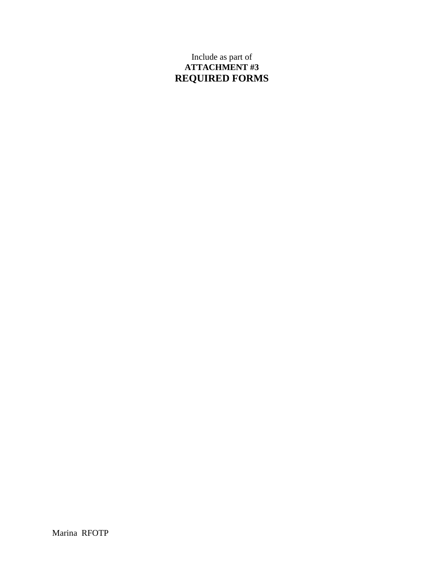## Include as part of **ATTACHMENT #3 REQUIRED FORMS**